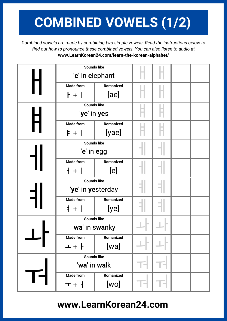## **COMBINED VOWELS (1/2)**

*Combined vowels are made by combining two simple vowels. Read the instructions below to find out how to pronounce these combined vowels. You can also listen to audio at* **www.LearnKorean24.com/learn-the-korean-alphabet/**

|  | <b>Sounds like</b> |           |  |  |  |
|--|--------------------|-----------|--|--|--|
|  | 'e' in elephant    |           |  |  |  |
|  | <b>Made from</b>   | Romanized |  |  |  |
|  | +                  | [ae]      |  |  |  |
|  | <b>Sounds like</b> |           |  |  |  |
|  | 'ye' in yes        |           |  |  |  |
|  | <b>Made from</b>   | Romanized |  |  |  |
|  | $\models +$        | [yae]     |  |  |  |
|  | <b>Sounds like</b> |           |  |  |  |
|  | 'e' in egg         |           |  |  |  |
|  | <b>Made from</b>   | Romanized |  |  |  |
|  | $+$ $+$            | [e]       |  |  |  |
|  | <b>Sounds like</b> |           |  |  |  |
|  | 'ye' in yesterday  |           |  |  |  |
|  | <b>Made from</b>   | Romanized |  |  |  |
|  | $1 + 1$            | [ye]      |  |  |  |
|  | <b>Sounds like</b> |           |  |  |  |
|  | 'wa' in swanky     |           |  |  |  |
|  | <b>Made from</b>   | Romanized |  |  |  |
|  | ᅩ+ᅡ                | [wa]      |  |  |  |
|  | <b>Sounds like</b> |           |  |  |  |
|  | 'wa' in walk       |           |  |  |  |
|  | <b>Made from</b>   | Romanized |  |  |  |
|  | $T + 1$            | [wo]      |  |  |  |

## **www.LearnKorean24.com**